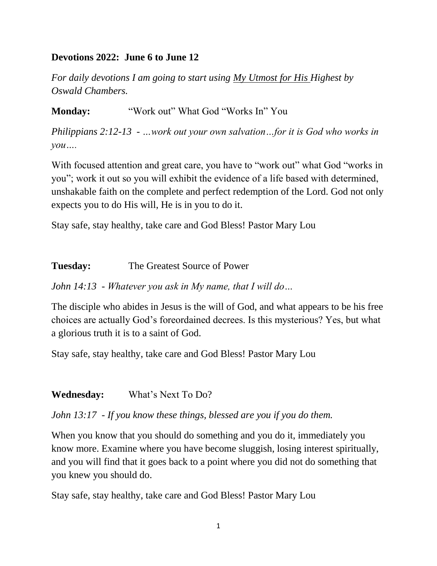## **Devotions 2022: June 6 to June 12**

*For daily devotions I am going to start using My Utmost for His Highest by Oswald Chambers.*

**Monday:** "Work out" What God "Works In" You

*Philippians 2:12-13 - …work out your own salvation…for it is God who works in you….*

With focused attention and great care, you have to "work out" what God "works in you"; work it out so you will exhibit the evidence of a life based with determined, unshakable faith on the complete and perfect redemption of the Lord. God not only expects you to do His will, He is in you to do it.

Stay safe, stay healthy, take care and God Bless! Pastor Mary Lou

**Tuesday:** The Greatest Source of Power

*John 14:13 - Whatever you ask in My name, that I will do…*

The disciple who abides in Jesus is the will of God, and what appears to be his free choices are actually God's foreordained decrees. Is this mysterious? Yes, but what a glorious truth it is to a saint of God.

Stay safe, stay healthy, take care and God Bless! Pastor Mary Lou

**Wednesday:** What's Next To Do?

*John 13:17 - If you know these things, blessed are you if you do them.*

When you know that you should do something and you do it, immediately you know more. Examine where you have become sluggish, losing interest spiritually, and you will find that it goes back to a point where you did not do something that you knew you should do.

Stay safe, stay healthy, take care and God Bless! Pastor Mary Lou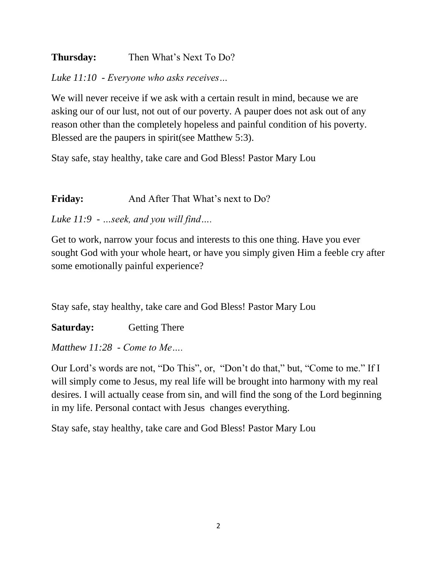## **Thursday:** Then What's Next To Do?

*Luke 11:10 - Everyone who asks receives…*

We will never receive if we ask with a certain result in mind, because we are asking our of our lust, not out of our poverty. A pauper does not ask out of any reason other than the completely hopeless and painful condition of his poverty. Blessed are the paupers in spirit(see Matthew 5:3).

Stay safe, stay healthy, take care and God Bless! Pastor Mary Lou

Friday: And After That What's next to Do?

*Luke 11:9 - …seek, and you will find….*

Get to work, narrow your focus and interests to this one thing. Have you ever sought God with your whole heart, or have you simply given Him a feeble cry after some emotionally painful experience?

Stay safe, stay healthy, take care and God Bless! Pastor Mary Lou

**Saturday:** Getting There

*Matthew 11:28 - Come to Me….*

Our Lord's words are not, "Do This", or, "Don't do that," but, "Come to me." If I will simply come to Jesus, my real life will be brought into harmony with my real desires. I will actually cease from sin, and will find the song of the Lord beginning in my life. Personal contact with Jesus changes everything.

Stay safe, stay healthy, take care and God Bless! Pastor Mary Lou